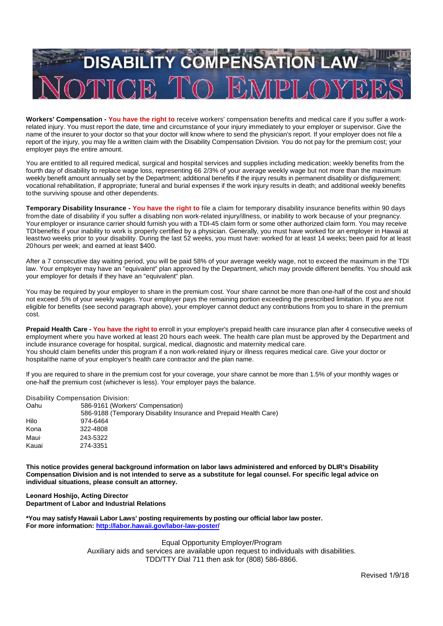

**Workers' Compensation - You have the right to** receive workers' compensation benefits and medical care if you suffer a workrelated injury. You must report the date, time and circumstance of your injury immediately to your employer or supervisor. Give the name of the insurer to your doctor so that your doctor will know where to send the physician's report. If your employer does not file a report of the injury, you may file a written claim with the Disability Compensation Division. You do not pay for the premium cost; your employer pays the entire amount.

You are entitled to all required medical, surgical and hospital services and supplies including medication; weekly benefits from the fourth day of disability to replace wage loss, representing 66 2/3% of your average weekly wage but not more than the maximum weekly benefit amount annually set by the Department; additional benefits if the injury results in permanent disability or disfigurement; vocational rehabilitation, if appropriate; funeral and burial expenses if the work injury results in death; and additional weekly benefits tothe surviving spouse and other dependents.

**Temporary Disability Insurance - You have the right to** file a claim for temporary disability insurance benefits within 90 days fromthe date of disability if you suffer a disabling non work-related injury/illness, or inability to work because of your pregnancy. Youremployer or insurance carrier should furnish you with a TDI-45 claim form or some other authorized claim form. You may receive TDIbenefits if your inability to work is properly certified by a physician. Generally, you must have worked for an employer in Hawaii at leasttwo weeks prior to your disability. During the last 52 weeks, you must have: worked for at least 14 weeks; been paid for at least 20hours per week; and earned at least \$400.

After a 7 consecutive day waiting period, you will be paid 58% of your average weekly wage, not to exceed the maximum in the TDI law. Your employer may have an "equivalent" plan approved by the Department, which may provide different benefits. You should ask your employer for details if they have an "equivalent" plan.

You may be required by your employer to share in the premium cost. Your share cannot be more than one-half of the cost and should not exceed .5% of your weekly wages. Your employer pays the remaining portion exceeding the prescribed limitation. If you are not eligible for benefits (see second paragraph above), your employer cannot deduct any contributions from you to share in the premium cost.

**Prepaid Health Care - You have the right to** enroll in your employer's prepaid health care insurance plan after 4 consecutive weeks of employment where you have worked at least 20 hours each week. The health care plan must be approved by the Department and include insurance coverage for hospital, surgical, medical, diagnostic and maternity medical care. You should claim benefits under this program if a non work-related injury or illness requires medical care. Give your doctor or hospitalthe name of your employer's health care contractor and the plan name.

If you are required to share in the premium cost for your coverage, your share cannot be more than 1.5% of your monthly wages or one-half the premium cost (whichever is less). Your employer pays the balance.

Disability Compensation Division:

| Oahu  | 586-9161 (Workers' Compensation)                                  |
|-------|-------------------------------------------------------------------|
|       | 586-9188 (Temporary Disability Insurance and Prepaid Health Care) |
| Hilo  | 974-6464                                                          |
| Kona  | 322-4808                                                          |
| Maui∙ | 243-5322                                                          |
| Kauai | 274-3351                                                          |
|       |                                                                   |

**This notice provides general background information on labor laws administered and enforced by DLIR's Disability** Compensation Division and is not intended to serve as a substitute for legal counsel. For specific legal advice on **individual situations, please consult an attorney.**

**Leonard Hoshijo, Acting Director Department of Labor and Industrial Relations**

**\*You may satisfy Hawaii Labor Laws' posting requirements by posting our official labor law poster. For more information: http://labor.hawaii.gov/labor-law-poster/**

> Equal Opportunity Employer/Program Auxiliary aids and services are available upon request to individuals with disabilities. TDD/TTY Dial 711 then ask for (808) 586-8866.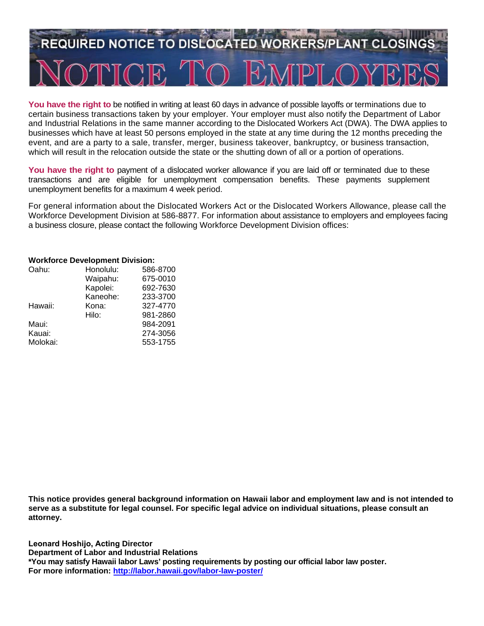# **REQUIRED NOTICE TO DISLOCATED WORKERS/PLANT CLOSING**

**You have the right to** be notified in writing at least 60 days in advance of possible layoffs or terminations due to certain business transactions taken by your employer. Your employer must also notify the Department of Labor and Industrial Relations in the same manner according to the Dislocated Workers Act (DWA). The DWA applies to businesses which have at least 50 persons employed in the state at any time during the 12 months preceding the event, and are a party to a sale, transfer, merger, business takeover, bankruptcy, or business transaction, which will result in the relocation outside the state or the shutting down of all or a portion of operations.

You have the right to payment of a dislocated worker allowance if you are laid off or terminated due to these transactions and are eligible for unemployment compensation benefits. These payments supplement unemployment benefits for a maximum 4 week period.

For general information about the Dislocated Workers Act or the Dislocated Workers Allowance, please call the Workforce Development Division at 586-8877. For information about assistance to employers and employees facing a business closure, please contact the following Workforce Development Division offices:

#### **Workforce Development Division:**

| Oahu:    | Honolulu: | 586-8700 |
|----------|-----------|----------|
|          | Waipahu:  | 675-0010 |
|          | Kapolei:  | 692-7630 |
|          | Kaneohe:  | 233-3700 |
| Hawaii:  | Kona:     | 327-4770 |
|          | Hilo:     | 981-2860 |
| Maui:    |           | 984-2091 |
| Kauai:   |           | 274-3056 |
| Molokai: |           | 553-1755 |

**This notice provides general background information on Hawaii labor and employment law and is not intended to serve as a substitute for legal counsel. For specific legal advice on individual situations, please consult an attorney.** 

**Leonard Hoshijo, Acting Director Department of Labor and Industrial Relations \*You may satisfy Hawaii labor Laws' posting requirements by posting our official labor law poster. For more information: http://labor.hawaii.gov/labor-law-poster/**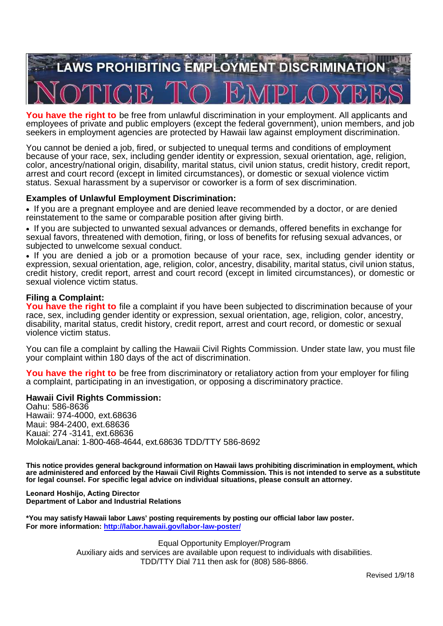

**You have the right to** be free from unlawful discrimination in your employment. All applicants and employees of private and public employers (except the federal government), union members, and job seekers in employment agencies are protected by Hawaii law against employment discrimination.

You cannot be denied a job, fired, or subjected to unequal terms and conditions of employment because of your race, sex, including gender identity or expression, sexual orientation, age, religion, color, ancestry/national origin, disability, marital status, civil union status, credit history, credit report, arrest and court record (except in limited circumstances), or domestic or sexual violence victim status. Sexual harassment by a supervisor or coworker is a form of sex discrimination.

# **Examples of Unlawful Employment Discrimination:**

 If you are a pregnant employee and are denied leave recommended by a doctor, or are denied reinstatement to the same or comparable position after giving birth.

 If you are subjected to unwanted sexual advances or demands, offered benefits in exchange for sexual favors, threatened with demotion, firing, or loss of benefits for refusing sexual advances, or subjected to unwelcome sexual conduct.

• If you are denied a job or a promotion because of your race, sex, including gender identity or expression, sexual orientation, age, religion, color, ancestry, disability, marital status, civil union status, credit history, credit report, arrest and court record (except in limited circumstances), or domestic or sexual violence victim status.

# **Filing a Complaint:**

**You have the right to** file a complaint if you have been subjected to discrimination because of your race, sex, including gender identity or expression, sexual orientation, age, religion, color, ancestry, disability, marital status, credit history, credit report, arrest and court record, or domestic or sexual violence victim status.

You can file a complaint by calling the Hawaii Civil Rights Commission. Under state law, you must file your complaint within 180 days of the act of discrimination.

**You have the right to** be free from discriminatory or retaliatory action from your employer for filing a complaint, participating in an investigation, or opposing a discriminatory practice.

# **Hawaii Civil Rights Commission:**

Oahu: 586-8636 Hawaii: 974-4000, ext.68636 Maui: 984-2400, ext.68636 Kauai: 274 -3141, ext.68636 Molokai/Lanai: 1-800-468-4644, ext.68636 TDD/TTY 586-8692

**This notice provides general background information on Hawaii laws prohibiting discrimination in employment, which** are administered and enforced by the Hawaii Civil Rights Commission. This is not intended to serve as a substitute **for legal counsel. For specific legal advice on individual situations, please consult an attorney.**

**Leonard Hoshijo, Acting Director Department of Labor and Industrial Relations**

**\*You may satisfy Hawaii labor Laws' posting requirements by posting our official labor law poster. For more information: http://labor.hawaii.gov/labor-law-poster/**

> Equal Opportunity Employer/Program Auxiliary aids and services are available upon request to individuals with disabilities. TDD/TTY Dial 711 then ask for (808) 586-8866.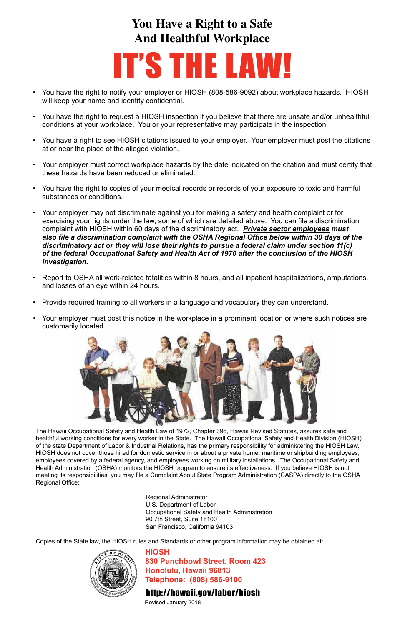- You have the right to notify your employer or HIOSH (808-586-9092) about workplace hazards. HIOSH will keep your name and identity confidential.
- You have the right to request a HIOSH inspection if you believe that there are unsafe and/or unhealthful conditions at your workplace. You or your representative may participate in the inspection.
- You have a right to see HIOSH citations issued to your employer. Your employer must post the citations at or near the place of the alleged violation.
- Your employer must correct workplace hazards by the date indicated on the citation and must certify that these hazards have been reduced or eliminated.
- You have the right to copies of your medical records or records of your exposure to toxic and harmful substances or conditions.
- Your employer may not discriminate against you for making a safety and health complaint or for exercising your rights under the law, some of which are detailed above. You can file a discrimination complaint with HIOSH within 60 days of the discriminatory act. *Private sector employees must also file a discrimination complaint with the OSHA Regional Office below within 30 days of the discriminatory act or they will lose their rights to pursue a federal claim under section 11(c) of the federal Occupational Safety and Health Act of 1970 after the conclusion of the HIOSH investigation.*
- Report to OSHA all work-related fatalities within 8 hours, and all inpatient hospitalizations, amputations, and losses of an eye within 24 hours.
- Provide required training to all workers in a language and vocabulary they can understand.
- Your employer must post this notice in the workplace in a prominent location or where such notices are customarily located.



# **You Have a Right to a Safe And Healthful Workplace**

# IT'S THE LAW!

The Hawaii Occupational Safety and Health Law of 1972, Chapter 396, Hawaii Revised Statutes, assures safe and healthful working conditions for every worker in the State. The Hawaii Occupational Safety and Health Division (HIOSH) of the state Department of Labor & Industrial Relations, has the primary responsibility for administering the HIOSH Law. HIOSH does not cover those hired for domestic service in or about a private home, maritime or shipbuilding employees, employees covered by a federal agency, and employees working on military installations. The Occupational Safety and Health Administration (OSHA) monitors the HIOSH program to ensure its effectiveness. If you believe HIOSH is not meeting its responsibilities, you may file a Complaint About State Program Administration (CASPA) directly to the OSHA Regional Office:

> Regional Administrator U.S. Department of Labor Occupational Safety and Health Administration 90 7th Street, Suite 18100 San Francisco, California 94103

Copies of the State law, the HIOSH rules and Standards or other program information may be obtained at:



# **HIOSH**

**830 Punchbowl Street, Room 423 Honolulu, Hawaii 96813 Telephone: (808) 586-9100**

# http://hawaii.gov/labor/hiosh

Revised January 2018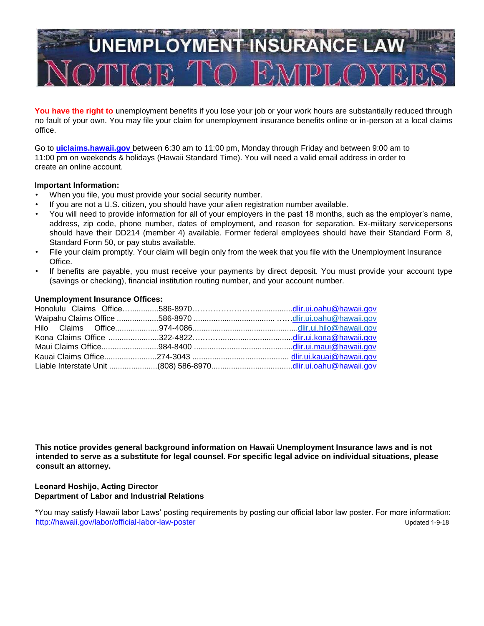

You have the right to unemployment benefits if you lose your job or your work hours are substantially reduced through no fault of your own. You may file your claim for unemployment insurance benefits online or in-person at a local claims office.

Go to **[uiclaims.hawaii.gov](http://uiclaims.hawaii.gov/)** between 6:30 am to 11:00 pm, Monday through Friday and between 9:00 am to 11:00 pm on weekends & holidays (Hawaii Standard Time). You will need a valid email address in order to create an online account.

## **Important Information:**

- When you file, you must provide your social security number.
- If you are not a U.S. citizen, you should have your alien registration number available.
- You will need to provide information for all of your employers in the past 18 months, such as the employer's name, address, zip code, phone number, dates of employment, and reason for separation. Ex-military servicepersons should have their DD214 (member 4) available. Former federal employees should have their Standard Form 8, Standard Form 50, or pay stubs available.
- File your claim promptly. Your claim will begin only from the week that you file with the Unemployment Insurance Office.
- If benefits are payable, you must receive your payments by direct deposit. You must provide your account type (savings or checking), financial institution routing number, and your account number.

## **Unemployment Insurance Offices:**

**This notice provides general background information on Hawaii Unemployment Insurance laws and is not intended to serve as a substitute for legal counsel. For specific legal advice on individual situations, please consult an attorney.**

## **Leonard Hoshijo, Acting Director Department of Labor and Industrial Relations**

\*You may satisfy Hawaii labor Laws' posting requirements by posting our official labor law poster. For more information: <http://hawaii.gov/labor/official-labor-law-poster> extension of the extension of the Updated 1-9-18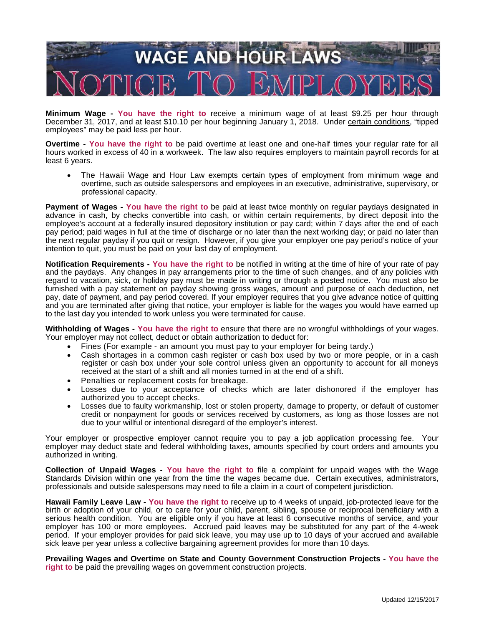

**Minimum Wage - You have the right to** receive a minimum wage of at least \$9.25 per hour through December 31, 2017, and at least \$10.10 per hour beginning January 1, 2018. Under certain conditions, "tipped employees" may be paid less per hour.

**Overtime - You have the right to** be paid overtime at least one and one-half times your regular rate for all hours worked in excess of 40 in a workweek. The law also requires employers to maintain payroll records for at least 6 years.

• The Hawaii Wage and Hour Law exempts certain types of employment from minimum wage and overtime, such as outside salespersons and employees in an executive, administrative, supervisory, or professional capacity.

**Payment of Wages - You have the right to** be paid at least twice monthly on regular paydays designated in advance in cash, by checks convertible into cash, or within certain requirements, by direct deposit into the employee's account at a federally insured depository institution or pay card; within 7 days after the end of each pay period; paid wages in full at the time of discharge or no later than the next working day; or paid no later than the next regular payday if you quit or resign. However, if you give your employer one pay period's notice of your intention to quit, you must be paid on your last day of employment.

**Notification Requirements - You have the right to** be notified in writing at the time of hire of your rate of pay and the paydays. Any changes in pay arrangements prior to the time of such changes, and of any policies with regard to vacation, sick, or holiday pay must be made in writing or through a posted notice. You must also be furnished with a pay statement on payday showing gross wages, amount and purpose of each deduction, net pay, date of payment, and pay period covered. If your employer requires that you give advance notice of quitting and you are terminated after giving that notice, your employer is liable for the wages you would have earned up to the last day you intended to work unless you were terminated for cause.

**Withholding of Wages - You have the right to** ensure that there are no wrongful withholdings of your wages. Your employer may not collect, deduct or obtain authorization to deduct for:

- Fines (For example an amount you must pay to your employer for being tardy.)
- Cash shortages in a common cash register or cash box used by two or more people, or in a cash register or cash box under your sole control unless given an opportunity to account for all moneys received at the start of a shift and all monies turned in at the end of a shift.
- Penalties or replacement costs for breakage.
- Losses due to your acceptance of checks which are later dishonored if the employer has authorized you to accept checks.
- Losses due to faulty workmanship, lost or stolen property, damage to property, or default of customer credit or nonpayment for goods or services received by customers, as long as those losses are not due to your willful or intentional disregard of the employer's interest.

Your employer or prospective employer cannot require you to pay a job application processing fee. Your employer may deduct state and federal withholding taxes, amounts specified by court orders and amounts you authorized in writing.

**Collection of Unpaid Wages - You have the right to** file a complaint for unpaid wages with the Wage Standards Division within one year from the time the wages became due. Certain executives, administrators, professionals and outside salespersons may need to file a claim in a court of competent jurisdiction.

**Hawaii Family Leave Law - You have the right to** receive up to 4 weeks of unpaid, job-protected leave for the birth or adoption of your child, or to care for your child, parent, sibling, spouse or reciprocal beneficiary with a serious health condition. You are eligible only if you have at least 6 consecutive months of service, and your employer has 100 or more employees. Accrued paid leaves may be substituted for any part of the 4-week period. If your employer provides for paid sick leave, you may use up to 10 days of your accrued and available sick leave per year unless a collective bargaining agreement provides for more than 10 days.

**Prevailing Wages and Overtime on State and County Government Construction Projects - You have the right to** be paid the prevailing wages on government construction projects.